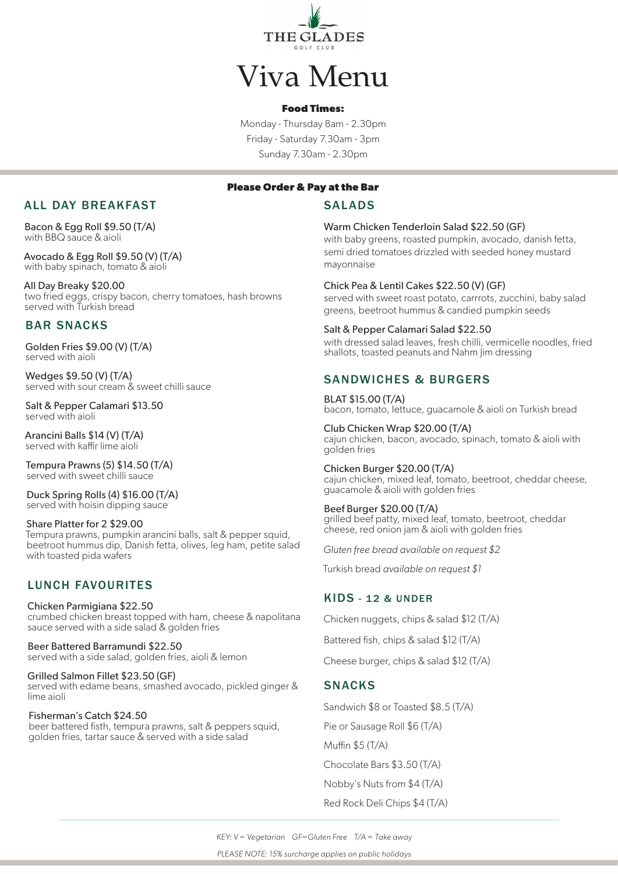

## Viva Menu

## **Food Times:**

Monday - Thursday 8am - 2.30pm Friday - Saturday 7.30am - 3pm Sunday 7.30am - 2.30pm

## **Please Order & Pay at the Bar**

## SALADS

## Warm Chicken Tenderloin Salad \$22.50 (GF)

with baby greens, roasted pumpkin, avocado, danish fetta, semi dried tomatoes drizzled with seeded honey mustard mayonnaise

## Chick Pea & Lentil Cakes \$22.50 (V) (GF)

served with sweet roast potato, carrrots, zucchini, baby salad greens, beetroot hummus & candied pumpkin seeds

#### Salt & Pepper Calamari Salad \$22.50

with dressed salad leaves, fresh chilli, vermicelle noodles, fried shallots, toasted peanuts and Nahm Jim dressing

## SANDWICHES & BURGERS

BLAT \$15.00 (T/A) bacon, tomato, lettuce, guacamole & aioli on Turkish bread

Club Chicken Wrap \$20.00 (T/A) cajun chicken, bacon, avocado, spinach, tomato & aioli with golden fries

Chicken Burger \$20.00 (T/A) cajun chicken, mixed leaf, tomato, beetroot, cheddar cheese, guacamole & aioli with golden fries

#### Beef Burger \$20.00 (T/A) grilled beef patty, mixed leaf, tomato, beetroot, cheddar cheese, red onion jam & aioli with golden fries

*Gluten free bread available on request \$2*

Turkish bread *available on request \$1*

## KIDS - 12 & UNDER

Chicken nuggets, chips & salad \$12 (T/A)

Battered fish, chips & salad \$12 (T/A)

Cheese burger, chips & salad \$12 (T/A)

## SNACKS

Sandwich \$8 or Toasted \$8.5 (T/A) Pie or Sausage Roll \$6 (T/A) Muffin \$5 (T/A)

Chocolate Bars \$3.50 (T/A)

Nobby's Nuts from \$4 (T/A)

Red Rock Deli Chips \$4 (T/A)

## ALL DAY BREAKFAST

Bacon & Egg Roll \$9.50 (T/A) with BBQ sauce & aioli

Avocado & Egg Roll \$9.50 (V) (T/A) with baby spinach, tomato & aioli

All Day Breaky \$20.00 two fried eggs, crispy bacon, cherry tomatoes, hash browns served with Turkish bread

## BAR SNACKS

Golden Fries \$9.00 (V) (T/A) served with aioli

Wedges \$9.50 (V) (T/A) served with sour cream & sweet chilli sauce

Salt & Pepper Calamari \$13.50 served with aioli

Arancini Balls \$14 (V) (T/A) served with kaffir lime aioli

Tempura Prawns (5) \$14.50 (T/A) served with sweet chilli sauce

Duck Spring Rolls (4) \$16.00 (T/A) served with hoisin dipping sauce

#### Share Platter for 2 \$29.00 Tempura prawns, pumpkin arancini balls, salt & pepper squid, beetroot hummus dip, Danish fetta, olives, leg ham, petite salad with toasted pida wafers

## LUNCH FAVOURITES

Chicken Parmigiana \$22.50 crumbed chicken breast topped with ham, cheese & napolitana sauce served with a side salad & golden fries

Beer Battered Barramundi \$22.50 served with a side salad, golden fries, aioli & lemon

Grilled Salmon Fillet \$23.50 (GF) served with edame beans, smashed avocado, pickled ginger & lime aioli

Fisherman's Catch \$24.50 beer battered fisth, tempura prawns, salt & peppers squid, golden fries, tartar sauce & served with a side salad

> *KEY: V = Vegetarian GF=Gluten Free T/A = Take away PLEASE NOTE: 15% surcharge applies on public holidays*